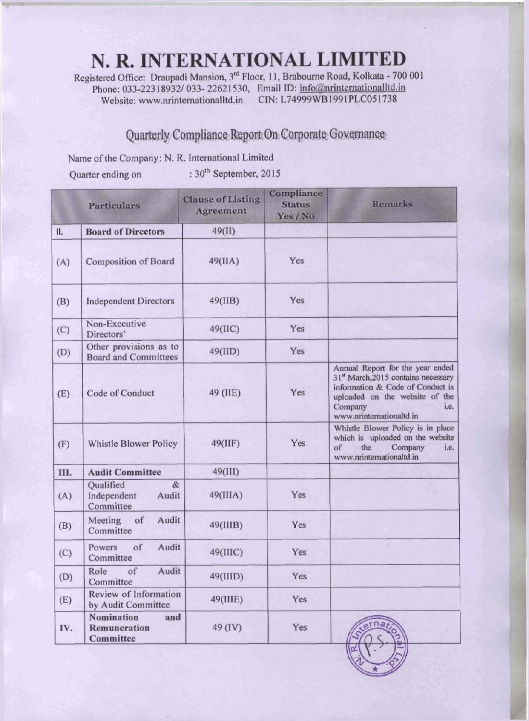## N. R. INTERNATIONAL LIMITED

Registered Office: Draupadi Mansion, 3<sup>rd</sup> Floor, 11, Brabourne Road, Kolkata - 700 001 Phone: 033-22318932/ 033-22621530, Email ID: info@nrinternationalltd.in CIN: L74999WB1991PLC051738 Website: www.nrinternationalltd.in

## Quarterly Compliance Report On Corporate Governance

Name of the Company: N. R. International Limited

Quarter ending on

:  $30<sup>th</sup>$  September, 2015

|      | <b>Particulars</b>                                     | <b>Clause of Listing</b><br><b>Agreement</b> | Compliance<br><b>Status</b><br>Yes / No | <b>Remarks</b>                                                                                                                                                                                           |
|------|--------------------------------------------------------|----------------------------------------------|-----------------------------------------|----------------------------------------------------------------------------------------------------------------------------------------------------------------------------------------------------------|
| II.  | <b>Board of Directors</b>                              | 49(II)                                       |                                         |                                                                                                                                                                                                          |
| (A)  | <b>Composition of Board</b>                            | 49(IIA)                                      | Yes                                     |                                                                                                                                                                                                          |
| (B)  | <b>Independent Directors</b>                           | 49(IIB)                                      | Yes                                     |                                                                                                                                                                                                          |
| (C)  | Non-Executive<br>Directors'                            | 49(IIC)                                      | Yes                                     |                                                                                                                                                                                                          |
| (D)  | Other provisions as to<br><b>Board and Committees</b>  | 49(IID)                                      | Yes                                     |                                                                                                                                                                                                          |
| (E)  | Code of Conduct                                        | 49 (IIE)                                     | Yes                                     | Annual Report for the year ended<br>31 <sup>st</sup> March, 2015 contains necessary<br>information & Code of Conduct is<br>uploaded on the website of the<br>Company<br>i.e.<br>www.nrinternationaltd.in |
| (F)  | Whistle Blower Policy                                  | 49(IIIF)                                     | Yes                                     | Whistle Blower Policy is in place<br>which is uploaded on the website<br>of<br>the<br>Company<br>i.e.<br>www.nrinternationaltd.in                                                                        |
| III. | <b>Audit Committee</b>                                 | 49(III)                                      |                                         |                                                                                                                                                                                                          |
| (A)  | Qualified<br>$\&$<br>Independent<br>Audit<br>Committee | 49(IIIA)                                     | Yes                                     |                                                                                                                                                                                                          |
| (B)  | Audit<br>Meeting<br>of<br>Committee                    | 49(IIIB)                                     | Yes                                     |                                                                                                                                                                                                          |
| (C)  | Audit<br>of<br>Powers<br>Committee                     | 49(IIIC)                                     | Yes                                     |                                                                                                                                                                                                          |
| (D)  | Audit<br>of<br>Role<br>Committee                       | 49(IIID)                                     | Yes                                     |                                                                                                                                                                                                          |
| (E)  | Review of Information<br>by Audit Committee            | 49(IIIE)                                     | Yes                                     |                                                                                                                                                                                                          |
| IV.  | <b>Nomination</b><br>and<br>Remuneration<br>Committee  | 49 (IV)                                      | Yes                                     | erna                                                                                                                                                                                                     |